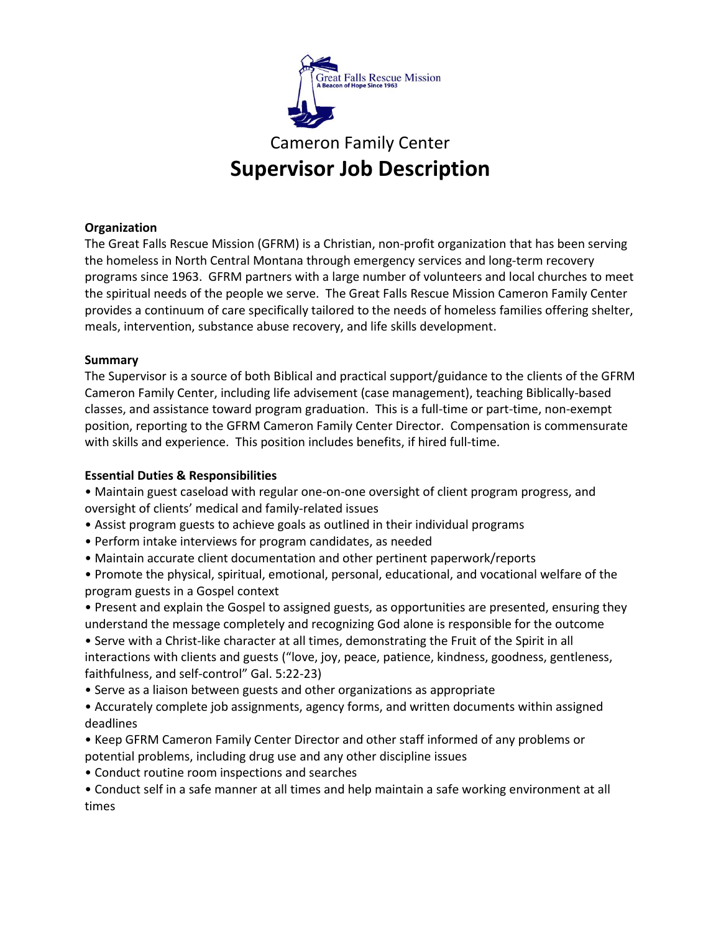

# Cameron Family Center **Supervisor Job Description**

# **Organization**

The Great Falls Rescue Mission (GFRM) is a Christian, non-profit organization that has been serving the homeless in North Central Montana through emergency services and long-term recovery programs since 1963. GFRM partners with a large number of volunteers and local churches to meet the spiritual needs of the people we serve. The Great Falls Rescue Mission Cameron Family Center provides a continuum of care specifically tailored to the needs of homeless families offering shelter, meals, intervention, substance abuse recovery, and life skills development.

## **Summary**

The Supervisor is a source of both Biblical and practical support/guidance to the clients of the GFRM Cameron Family Center, including life advisement (case management), teaching Biblically-based classes, and assistance toward program graduation. This is a full-time or part-time, non-exempt position, reporting to the GFRM Cameron Family Center Director. Compensation is commensurate with skills and experience. This position includes benefits, if hired full-time.

# **Essential Duties & Responsibilities**

• Maintain guest caseload with regular one-on-one oversight of client program progress, and oversight of clients' medical and family-related issues

- Assist program guests to achieve goals as outlined in their individual programs
- Perform intake interviews for program candidates, as needed
- Maintain accurate client documentation and other pertinent paperwork/reports
- Promote the physical, spiritual, emotional, personal, educational, and vocational welfare of the program guests in a Gospel context

• Present and explain the Gospel to assigned guests, as opportunities are presented, ensuring they understand the message completely and recognizing God alone is responsible for the outcome • Serve with a Christ-like character at all times, demonstrating the Fruit of the Spirit in all interactions with clients and guests ("love, joy, peace, patience, kindness, goodness, gentleness, faithfulness, and self-control" Gal. 5:22-23)

- Serve as a liaison between guests and other organizations as appropriate
- Accurately complete job assignments, agency forms, and written documents within assigned deadlines
- Keep GFRM Cameron Family Center Director and other staff informed of any problems or potential problems, including drug use and any other discipline issues
- Conduct routine room inspections and searches

• Conduct self in a safe manner at all times and help maintain a safe working environment at all times